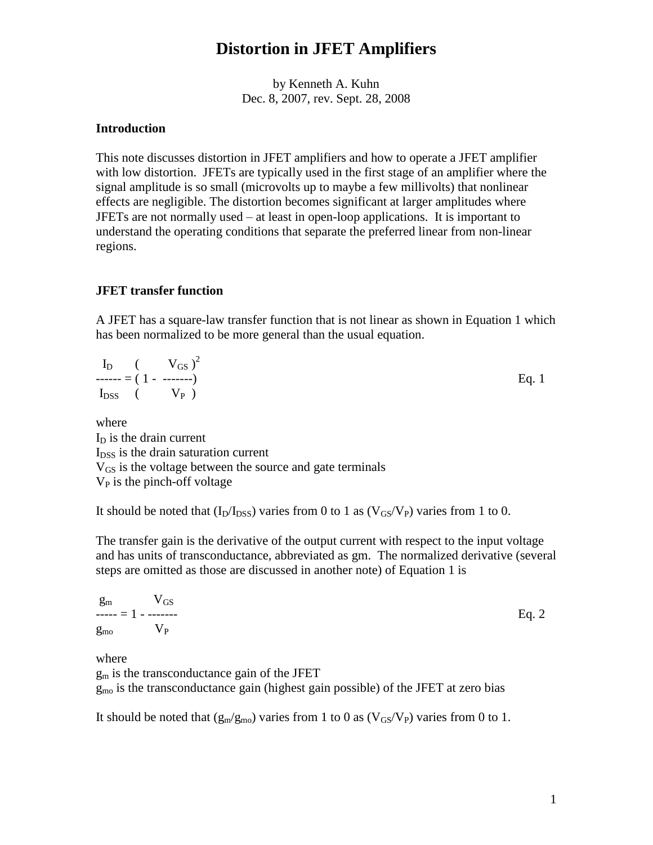by Kenneth A. Kuhn Dec. 8, 2007, rev. Sept. 28, 2008

### **Introduction**

This note discusses distortion in JFET amplifiers and how to operate a JFET amplifier with low distortion. JFETs are typically used in the first stage of an amplifier where the signal amplitude is so small (microvolts up to maybe a few millivolts) that nonlinear effects are negligible. The distortion becomes significant at larger amplitudes where JFETs are not normally used  $-$  at least in open-loop applications. It is important to understand the operating conditions that separate the preferred linear from non-linear regions.

### **JFET transfer function**

A JFET has a square-law transfer function that is not linear as shown in Equation 1 which has been normalized to be more general than the usual equation.

|  | $I_D$ $(V_{GS})^2$  |         |
|--|---------------------|---------|
|  |                     | Eq. $1$ |
|  | $I_{DSS}$ ( $V_P$ ) |         |

where  $I<sub>D</sub>$  is the drain current  $I<sub>DSS</sub>$  is the drain saturation current V<sub>GS</sub> is the voltage between the source and gate terminals  $V_P$  is the pinch-off voltage

It should be noted that  $(I_D/I_{DSS})$  varies from 0 to 1 as  $(V_{GS}/V_P)$  varies from 1 to 0.

The transfer gain is the derivative of the output current with respect to the input voltage and has units of transconductance, abbreviated as gm. The normalized derivative (several steps are omitted as those are discussed in another note) of Equation 1 is

|                                | $g_m$ $V_{GS}$      |         |
|--------------------------------|---------------------|---------|
|                                | $--- = 1 - - - - -$ | Eq. $2$ |
| $g_{\text{mo}}$ $V_{\text{P}}$ |                     |         |

where

 $g<sub>m</sub>$  is the transconductance gain of the JFET

 $g_{\text{mo}}$  is the transconductance gain (highest gain possible) of the JFET at zero bias

It should be noted that  $(g_m/g_{mo})$  varies from 1 to 0 as  $(V_{GS}/V_P)$  varies from 0 to 1.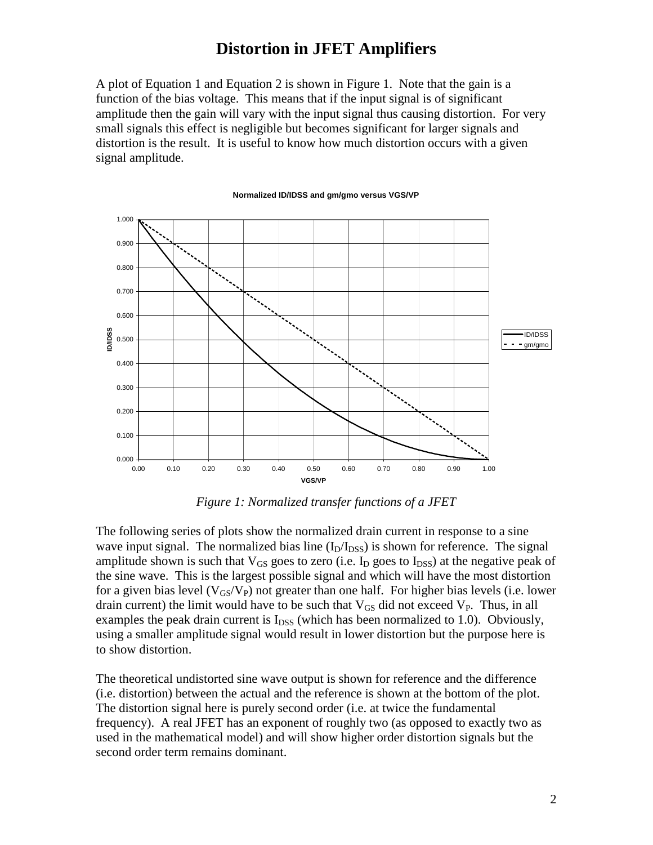A plot of Equation 1 and Equation 2 is shown in Figure 1. Note that the gain is a function of the bias voltage. This means that if the input signal is of significant amplitude then the gain will vary with the input signal thus causing distortion. For very small signals this effect is negligible but becomes significant for larger signals and distortion is the result. It is useful to know how much distortion occurs with a given signal amplitude.



#### **Normalized ID/IDSS and gm/gmo versus VGS/VP**

*Figure 1: Normalized transfer functions of a JFET*

The following series of plots show the normalized drain current in response to a sine wave input signal. The normalized bias line  $(I_D/I_{DSS})$  is shown for reference. The signal amplitude shown is such that  $V_{GS}$  goes to zero (i.e. I<sub>D</sub> goes to I<sub>DSS</sub>) at the negative peak of the sine wave. This is the largest possible signal and which will have the most distortion for a given bias level  $(V_{GS}/V_P)$  not greater than one half. For higher bias levels (i.e. lower drain current) the limit would have to be such that  $V_{GS}$  did not exceed  $V_{P}$ . Thus, in all examples the peak drain current is  $I_{DSS}$  (which has been normalized to 1.0). Obviously, using a smaller amplitude signal would result in lower distortion but the purpose here is to show distortion.

The theoretical undistorted sine wave output is shown for reference and the difference (i.e. distortion) between the actual and the reference is shown at the bottom of the plot. The distortion signal here is purely second order (i.e. at twice the fundamental frequency). A real JFET has an exponent of roughly two (as opposed to exactly two as used in the mathematical model) and will show higher order distortion signals but the second order term remains dominant.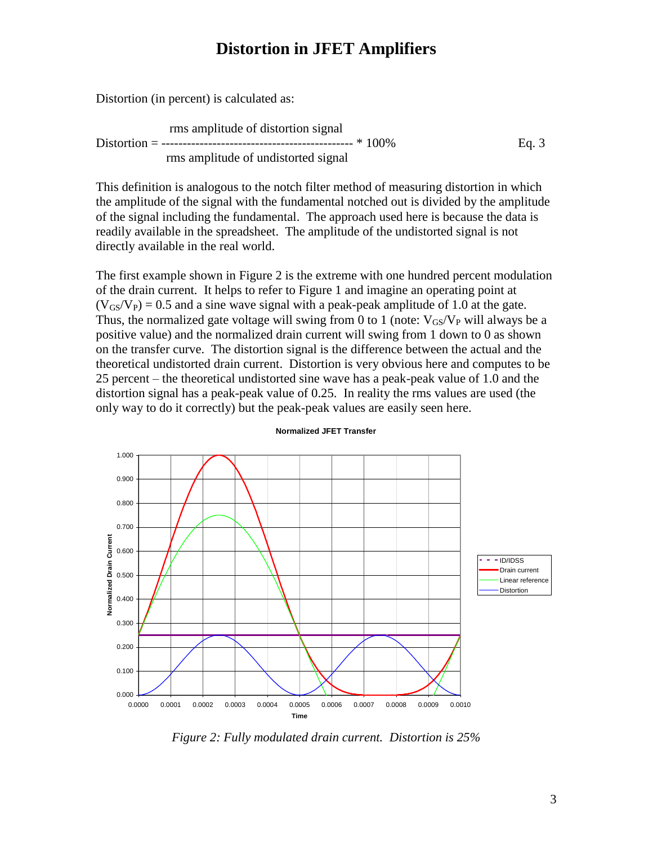Distortion (in percent) is calculated as:

rms amplitude of distortion signal Distortion = --------------------------------------------- \* 100% Eq. 3 rms amplitude of undistorted signal

This definition is analogous to the notch filter method of measuring distortion in which the amplitude of the signal with the fundamental notched out is divided by the amplitude of the signal including the fundamental. The approach used here is because the data is readily available in the spreadsheet. The amplitude of the undistorted signal is not directly available in the real world.

The first example shown in Figure 2 is the extreme with one hundred percent modulation of the drain current. It helps to refer to Figure 1 and imagine an operating point at  $(V_{GS}/V_P) = 0.5$  and a sine wave signal with a peak-peak amplitude of 1.0 at the gate. Thus, the normalized gate voltage will swing from 0 to 1 (note:  $V_{GS}/V_{P}$  will always be a positive value) and the normalized drain current will swing from 1 down to 0 as shown on the transfer curve. The distortion signal is the difference between the actual and the theoretical undistorted drain current. Distortion is very obvious here and computes to be 25 percent – the theoretical undistorted sine wave has a peak-peak value of 1.0 and the distortion signal has a peak-peak value of 0.25. In reality the rms values are used (the only way to do it correctly) but the peak-peak values are easily seen here.



#### **Normalized JFET Transfer**

*Figure 2: Fully modulated drain current. Distortion is 25%*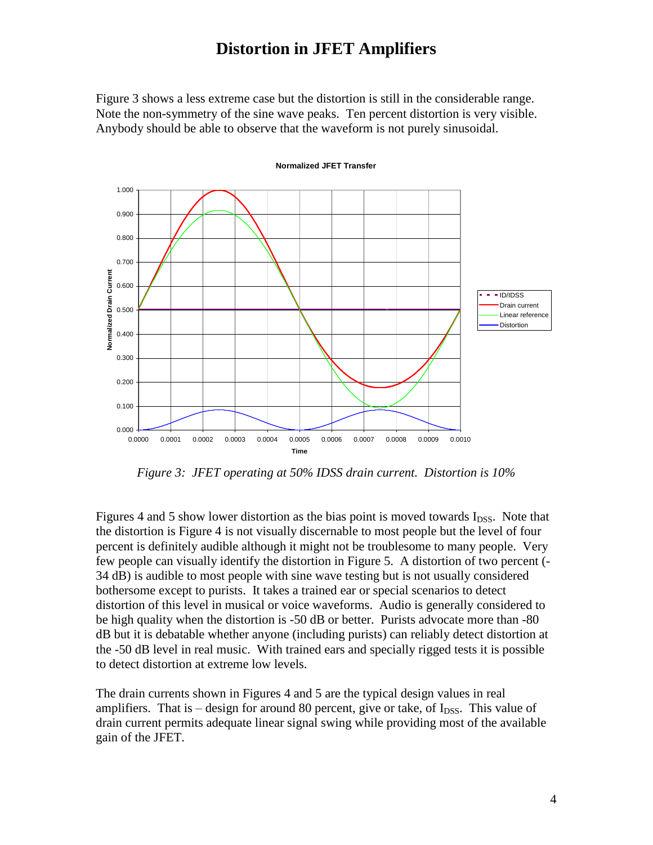Figure 3 shows a less extreme case but the distortion is still in the considerable range. Note the non-symmetry of the sine wave peaks. Ten percent distortion is very visible. Anybody should be able to observe that the waveform is not purely sinusoidal.



#### **Normalized JFET Transfer**

*Figure 3: JFET operating at 50% IDSS drain current. Distortion is 10%*

Figures 4 and 5 show lower distortion as the bias point is moved towards  $I_{DSS}$ . Note that the distortion is Figure 4 is not visually discernable to most people but the level of four percent is definitely audible although it might not be troublesome to many people. Very few people can visually identify the distortion in Figure 5. A distortion of two percent (- 34 dB) is audible to most people with sine wave testing but is not usually considered bothersome except to purists. It takes a trained ear or special scenarios to detect distortion of this level in musical or voice waveforms. Audio is generally considered to be high quality when the distortion is -50 dB or better. Purists advocate more than -80 dB but it is debatable whether anyone (including purists) can reliably detect distortion at the -50 dB level in real music. With trained ears and specially rigged tests it is possible to detect distortion at extreme low levels.

The drain currents shown in Figures 4 and 5 are the typical design values in real amplifiers. That is – design for around 80 percent, give or take, of  $I_{DSS}$ . This value of drain current permits adequate linear signal swing while providing most of the available gain of the JFET.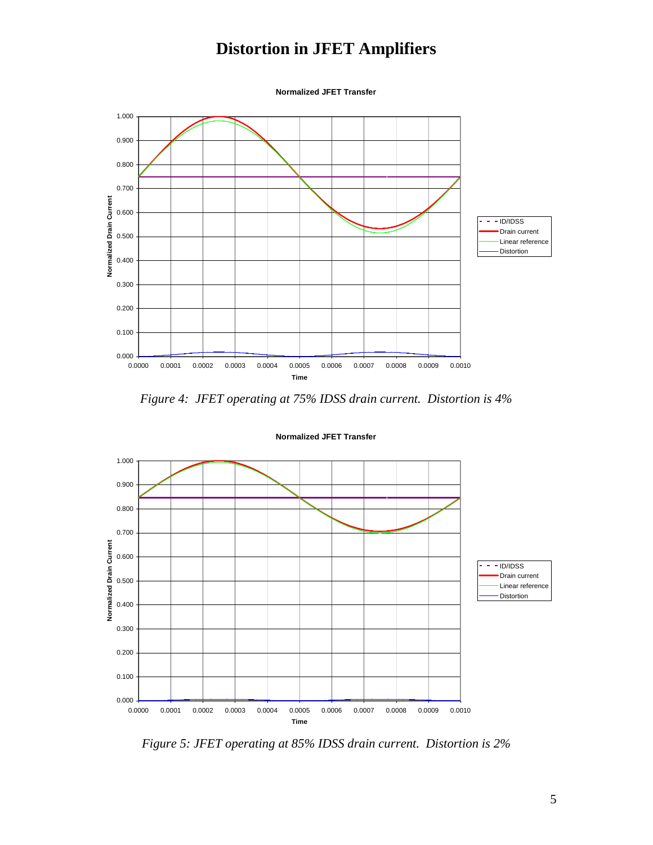**Normalized JFET Transfer**



*Figure 4: JFET operating at 75% IDSS drain current. Distortion is 4%*



**Normalized JFET Transfer**

*Figure 5: JFET operating at 85% IDSS drain current. Distortion is 2%*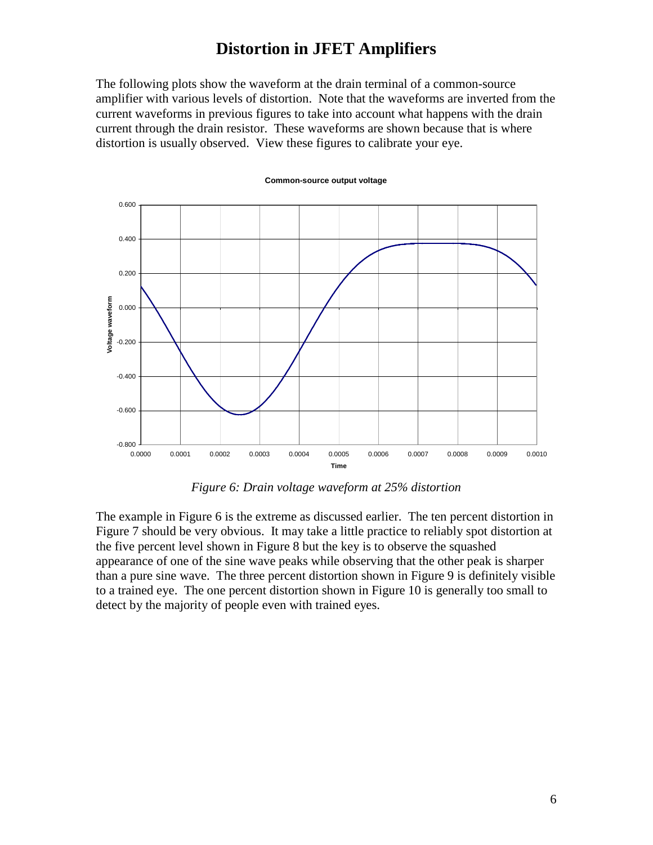The following plots show the waveform at the drain terminal of a common-source amplifier with various levels of distortion. Note that the waveforms are inverted from the current waveforms in previous figures to take into account what happens with the drain current through the drain resistor. These waveforms are shown because that is where distortion is usually observed. View these figures to calibrate your eye.



#### **Common-source output voltage**

*Figure 6: Drain voltage waveform at 25% distortion*

The example in Figure 6 is the extreme as discussed earlier. The ten percent distortion in Figure 7 should be very obvious. It may take a little practice to reliably spot distortion at the five percent level shown in Figure 8 but the key is to observe the squashed appearance of one of the sine wave peaks while observing that the other peak is sharper than a pure sine wave. The three percent distortion shown in Figure 9 is definitely visible to a trained eye. The one percent distortion shown in Figure 10 is generally too small to detect by the majority of people even with trained eyes.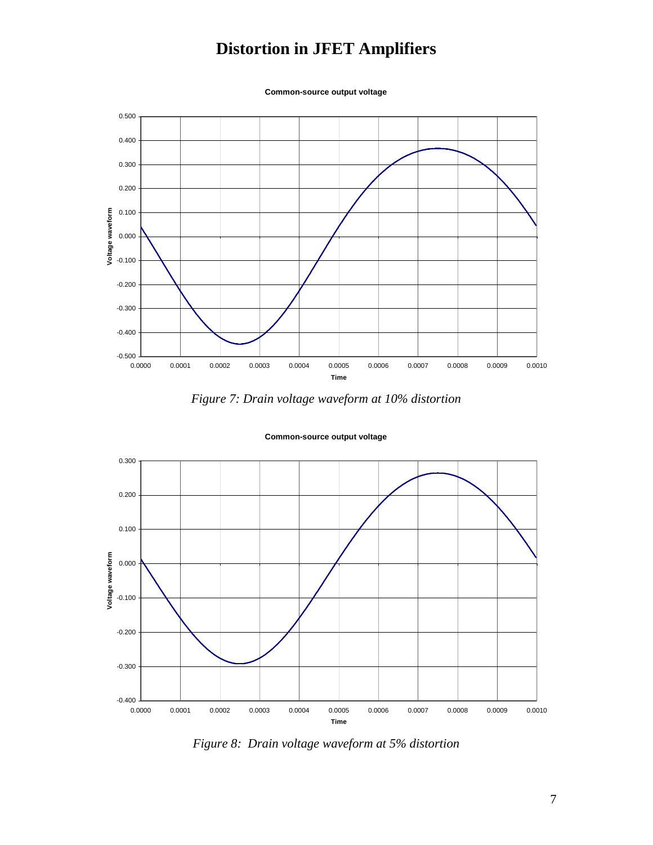**Common-source output voltage**



*Figure 7: Drain voltage waveform at 10% distortion*



**Common-source output voltage**

*Figure 8: Drain voltage waveform at 5% distortion*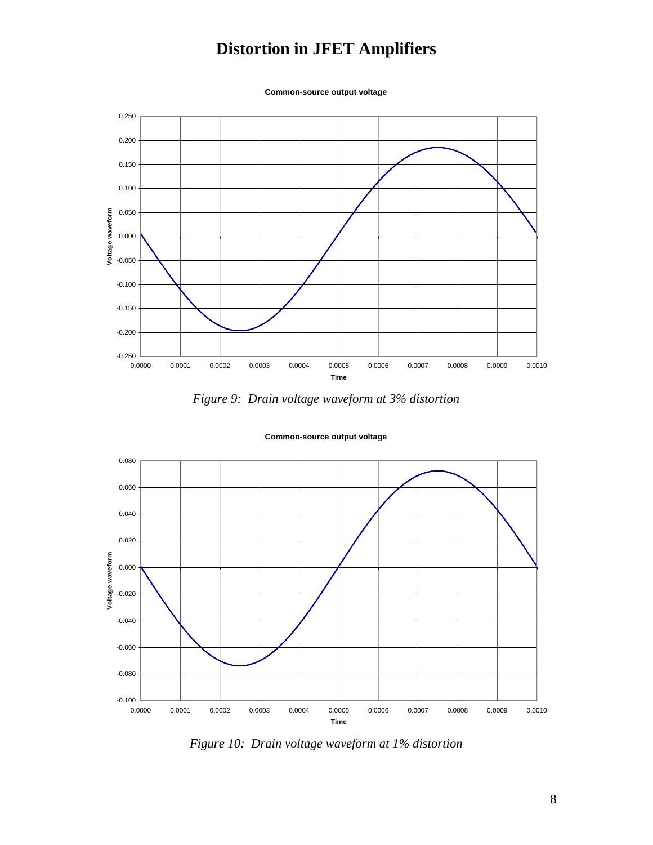**Common-source output voltage**







#### **Common-source output voltage**

*Figure 10: Drain voltage waveform at 1% distortion*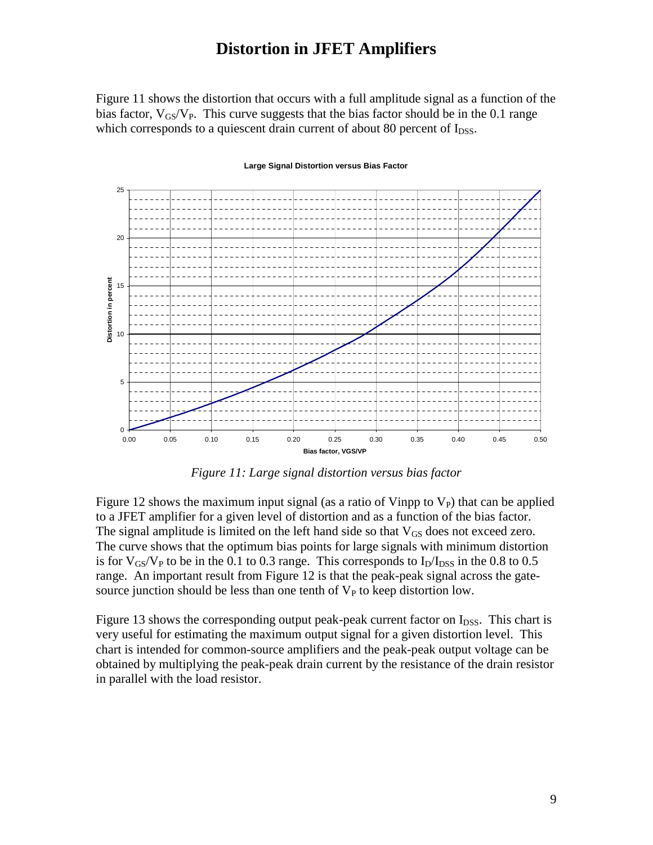Figure 11 shows the distortion that occurs with a full amplitude signal as a function of the bias factor,  $V_{GS}/V_{P}$ . This curve suggests that the bias factor should be in the 0.1 range which corresponds to a quiescent drain current of about 80 percent of  $I_{DSS}$ .



#### **Large Signal Distortion versus Bias Factor**

*Figure 11: Large signal distortion versus bias factor*

Figure 12 shows the maximum input signal (as a ratio of Vinpp to  $V_P$ ) that can be applied to a JFET amplifier for a given level of distortion and as a function of the bias factor. The signal amplitude is limited on the left hand side so that  $V_{GS}$  does not exceed zero. The curve shows that the optimum bias points for large signals with minimum distortion is for  $V_{GS}/V_P$  to be in the 0.1 to 0.3 range. This corresponds to  $I_D/I_{DSS}$  in the 0.8 to 0.5 range. An important result from Figure 12 is that the peak-peak signal across the gatesource junction should be less than one tenth of  $V_P$  to keep distortion low.

Figure 13 shows the corresponding output peak-peak current factor on  $I_{\text{DSS}}$ . This chart is very useful for estimating the maximum output signal for a given distortion level. This chart is intended for common-source amplifiers and the peak-peak output voltage can be obtained by multiplying the peak-peak drain current by the resistance of the drain resistor in parallel with the load resistor.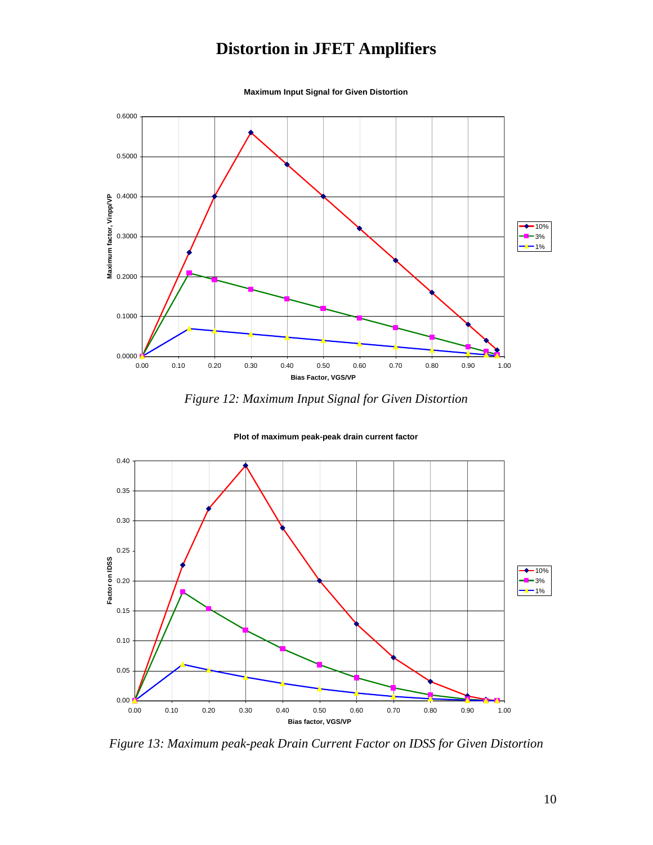

**Maximum Input Signal for Given Distortion**

*Figure 12: Maximum Input Signal for Given Distortion*



**Plot of maximum peak-peak drain current factor**

*Figure 13: Maximum peak-peak Drain Current Factor on IDSS for Given Distortion*